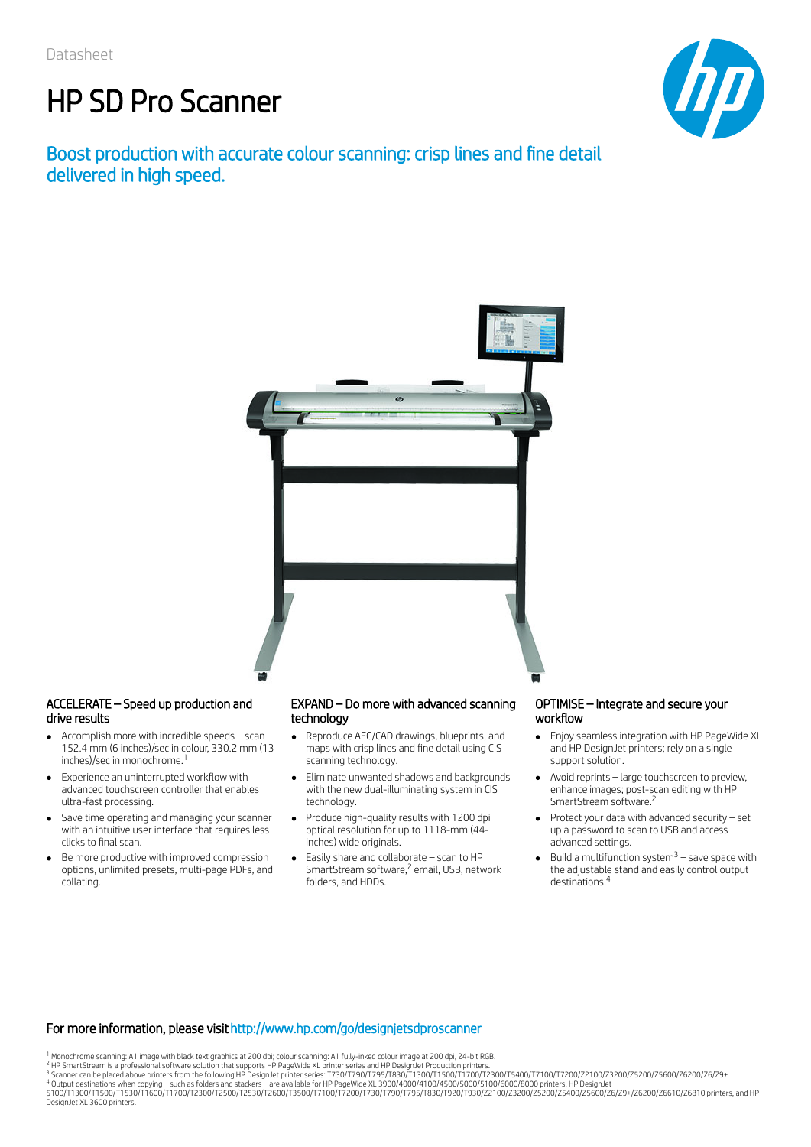# HP SD Pro Scanner

### Boost production with accurate colour scanning: crisp lines and fine detail delivered in high speed.





#### ACCELERATE – Speed up production and drive results

- Accomplish more with incredible speeds scan  $\bullet$ 152.4 mm (6 inches)/sec in colour, 330.2 mm (13 inches)/sec in monochrome. 1
- Experience an uninterrupted workflow with advanced touchscreen controller that enables ultra-fast processing.
- Save time operating and managing your scanner with an intuitive user interface that requires less clicks to final scan.
- Be more productive with improved compression options, unlimited presets, multi-page PDFs, and collating.

#### EXPAND – Do more with advanced scanning technology

- Reproduce AEC/CAD drawings, blueprints, and maps with crisp lines and fine detail using CIS scanning technology.
- Eliminate unwanted shadows and backgrounds with the new dual-illuminating system in CIS technology.
- Produce high-quality results with 1200 dpi optical resolution for up to 1118-mm (44 inches) wide originals.
- Easily share and collaborate scan to HP SmartStream software,<sup>2</sup> email, USB, network folders, and HDDs.

#### OPTIMISE – Integrate and secure your workflow

- Enjoy seamless integration with HP PageWide XL  $\bullet$ and HP DesignJet printers; rely on a single support solution.
- Avoid reprints large touchscreen to preview, enhance images; post-scan editing with HP SmartStream software. 2
- Protect your data with advanced security set up a password to scan to USB and access advanced settings.
- Build a multifunction system<sup>3</sup> save space with the adjustable stand and easily control output destinations. 4

#### For more information, please visithttp://www.hp.com/go/designjetsdproscanner

- 
- 

<sup>1</sup> 2 3 4

<sup>&</sup>lt;sup>1</sup> Monochrome scanning: A1 image with black text graphics at 200 dpi; colour scanning: A1 fully-inked colour image at 200 dpi, 24-bit RGB.<br><sup>3</sup> HP SmartStream is a professional software solution that supports HP PageWide X DesignJet XL 3600 printers.